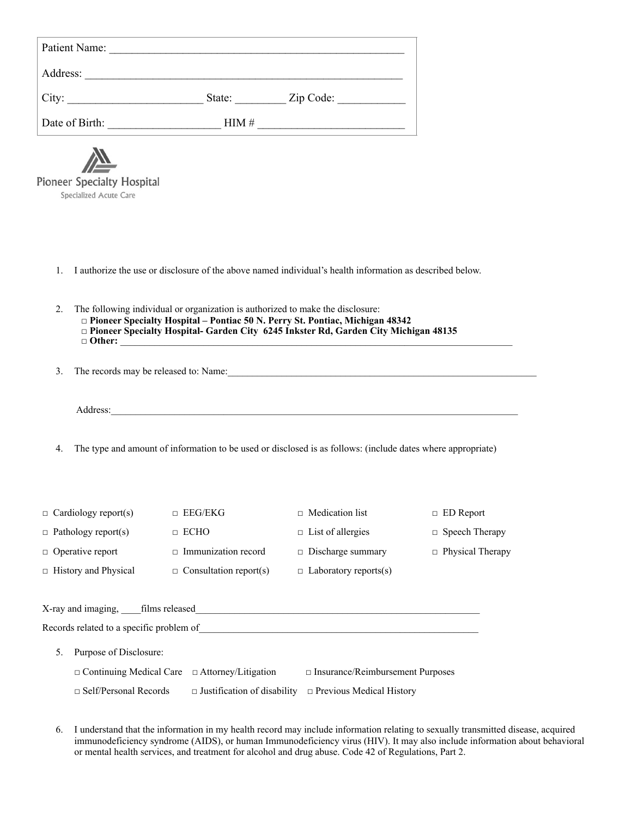| Patient Name:                  |        |           |  |
|--------------------------------|--------|-----------|--|
| Address:                       |        |           |  |
| $\overline{\phantom{a}}$ City: | State: | Zip Code: |  |
| Date of Birth:                 | HIM#   |           |  |
| $\blacksquare$                 |        |           |  |



- 1. I authorize the use or disclosure of the above named individual's health information as described below.
- 2. The following individual or organization is authorized to make the disclosure: □ **Pioneer Specialty Hospital – Pontiac 50 N. Perry St. Pontiac, Michigan 48342** □ **Pioneer Specialty Hospital- Garden City 6245 Inkster Rd, Garden City Michigan 48135**  □ Other:
- 3. The records may be released to: Name:

Address:

4. The type and amount of information to be used or disclosed is as follows: (include dates where appropriate)

| $\Box$ Cardiology report(s) | $\Box$ EEG/EKG                | $\Box$ Medication list       | $\Box$ ED Report        |
|-----------------------------|-------------------------------|------------------------------|-------------------------|
| $\Box$ Pathology report(s)  | $\Box$ ECHO                   | $\Box$ List of allergies     | $\Box$ Speech Therapy   |
| $\Box$ Operative report     | $\Box$ Immunization record    | $\Box$ Discharge summary     | $\Box$ Physical Therapy |
| $\Box$ History and Physical | $\Box$ Consultation report(s) | $\Box$ Laboratory reports(s) |                         |
|                             |                               |                              |                         |
| X-ray and imaging.          | films released                |                              |                         |

|    | Records related to a specific problem of                  |                                                                    |
|----|-----------------------------------------------------------|--------------------------------------------------------------------|
| 5. | Purpose of Disclosure:                                    |                                                                    |
|    | $\Box$ Continuing Medical Care $\Box$ Attorney/Litigation | $\Box$ Insurance/Reimbursement Purposes                            |
|    | $\Box$ Self/Personal Records                              | $\Box$ Justification of disability $\Box$ Previous Medical History |

6. I understand that the information in my health record may include information relating to sexually transmitted disease, acquired immunodeficiency syndrome (AIDS), or human Immunodeficiency virus (HIV). It may also include information about behavioral or mental health services, and treatment for alcohol and drug abuse. Code 42 of Regulations, Part 2.